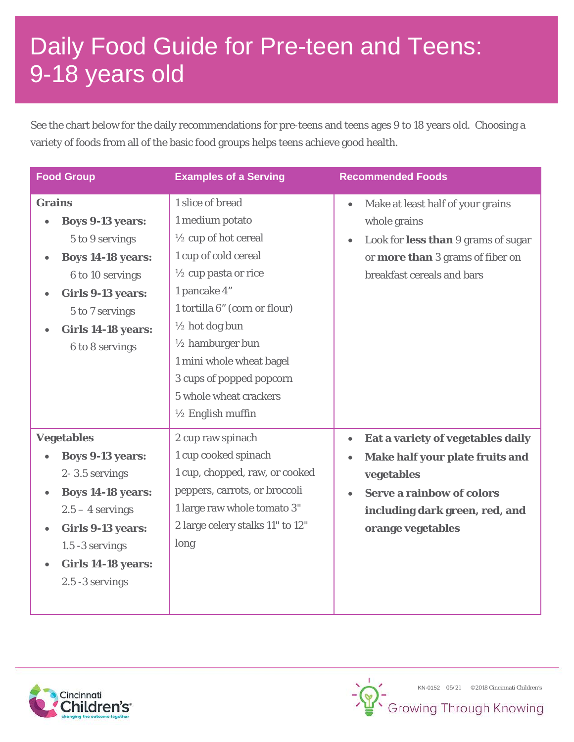## Daily Food Guide for Pre-teen and Teens: 9-18 years old

See the chart below for the daily recommendations for pre-teens and teens ages 9 to 18 years old. Choosing a variety of foods from all of the basic food groups helps teens achieve good health.

| <b>Food Group</b>                                                                                                                                                                                                                                      | <b>Examples of a Serving</b>                                                                                                                                                                                                                                                                                                                           | <b>Recommended Foods</b>                                                                                                                                                                                             |
|--------------------------------------------------------------------------------------------------------------------------------------------------------------------------------------------------------------------------------------------------------|--------------------------------------------------------------------------------------------------------------------------------------------------------------------------------------------------------------------------------------------------------------------------------------------------------------------------------------------------------|----------------------------------------------------------------------------------------------------------------------------------------------------------------------------------------------------------------------|
| <b>Grains</b><br><b>Boys 9-13 years:</b><br>5 to 9 servings<br><b>Boys 14-18 years:</b><br>6 to 10 servings<br><b>Girls 9-13 years:</b><br>$\bullet$<br>5 to 7 servings<br><b>Girls 14-18 years:</b><br>$\bullet$<br>6 to 8 servings                   | 1 slice of bread<br>1 medium potato<br>$\frac{1}{2}$ cup of hot cereal<br>1 cup of cold cereal<br>$\frac{1}{2}$ cup pasta or rice<br>1 pancake 4"<br>1 tortilla 6" (corn or flour)<br>1/2 hot dog bun<br>$\frac{1}{2}$ hamburger bun<br>1 mini whole wheat bagel<br>3 cups of popped popcorn<br>5 whole wheat crackers<br>$\frac{1}{2}$ English muffin | Make at least half of your grains<br>$\bullet$<br>whole grains<br>Look for less than 9 grams of sugar<br>$\bullet$<br>or more than 3 grams of fiber on<br>breakfast cereals and bars                                 |
| <b>Vegetables</b><br><b>Boys 9-13 years:</b><br>2-3.5 servings<br><b>Boys 14-18 years:</b><br>$\bullet$<br>$2.5 - 4$ servings<br><b>Girls 9-13 years:</b><br>$\bullet$<br>1.5 -3 servings<br><b>Girls 14-18 years:</b><br>$\bullet$<br>2.5 -3 servings | 2 cup raw spinach<br>1 cup cooked spinach<br>1 cup, chopped, raw, or cooked<br>peppers, carrots, or broccoli<br>1 large raw whole tomato 3"<br>2 large celery stalks 11" to 12"<br>long                                                                                                                                                                | Eat a variety of vegetables daily<br>$\bullet$<br>Make half your plate fruits and<br>$\bullet$<br>vegetables<br><b>Serve a rainbow of colors</b><br>$\bullet$<br>including dark green, red, and<br>orange vegetables |



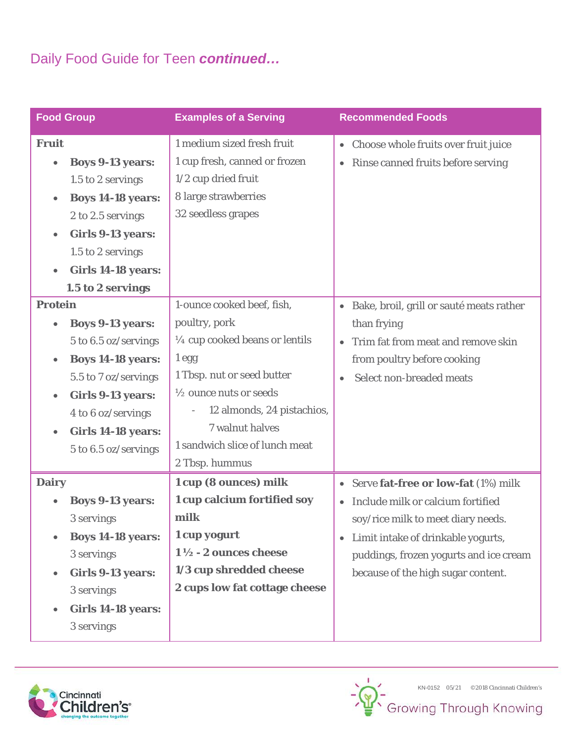## Daily Food Guide for Teen *continued…*

| <b>Food Group</b>                     | <b>Examples of a Serving</b>                           | <b>Recommended Foods</b>                              |
|---------------------------------------|--------------------------------------------------------|-------------------------------------------------------|
| <b>Fruit</b>                          | 1 medium sized fresh fruit                             | Choose whole fruits over fruit juice<br>$\bullet$     |
| <b>Boys 9-13 years:</b><br>$\bullet$  | 1 cup fresh, canned or frozen                          | Rinse canned fruits before serving<br>$\bullet$       |
| 1.5 to 2 servings                     | $1/2$ cup dried fruit                                  |                                                       |
| <b>Boys 14-18 years:</b><br>$\bullet$ | 8 large strawberries                                   |                                                       |
| 2 to 2.5 servings                     | 32 seedless grapes                                     |                                                       |
| <b>Girls 9-13 years:</b><br>$\bullet$ |                                                        |                                                       |
| 1.5 to 2 servings                     |                                                        |                                                       |
| <b>Girls 14-18 years:</b>             |                                                        |                                                       |
| 1.5 to 2 servings                     |                                                        |                                                       |
| <b>Protein</b>                        | 1-ounce cooked beef, fish,                             | Bake, broil, grill or sauté meats rather<br>$\bullet$ |
| <b>Boys 9-13 years:</b>               | poultry, pork                                          | than frying                                           |
| 5 to 6.5 oz/servings                  | $\frac{1}{4}$ cup cooked beans or lentils              | Trim fat from meat and remove skin<br>$\bullet$       |
| <b>Boys 14-18 years:</b><br>$\bullet$ | $1$ egg                                                | from poultry before cooking                           |
| 5.5 to 7 oz/servings                  | 1 Tbsp. nut or seed butter                             | Select non-breaded meats<br>$\bullet$                 |
| <b>Girls 9-13 years:</b><br>$\bullet$ | 1/2 ounce nuts or seeds                                |                                                       |
| 4 to 6 oz/servings                    | 12 almonds, 24 pistachios,<br>$\overline{\phantom{a}}$ |                                                       |
| <b>Girls 14-18 years:</b>             | 7 walnut halves                                        |                                                       |
| 5 to 6.5 oz/servings                  | 1 sandwich slice of lunch meat                         |                                                       |
|                                       | 2 Tbsp. hummus                                         |                                                       |
| <b>Dairy</b>                          | 1 cup (8 ounces) milk                                  | Serve fat-free or low-fat (1%) milk<br>$\bullet$      |
| <b>Boys 9-13 years:</b>               | 1 cup calcium fortified soy                            | Include milk or calcium fortified<br>$\bullet$        |
| 3 servings                            | milk                                                   | soy/rice milk to meet diary needs.                    |
| <b>Boys 14-18 years:</b>              | 1 cup yogurt                                           | Limit intake of drinkable yogurts,<br>$\bullet$       |
| 3 servings                            | $1\frac{1}{2}$ - 2 ounces cheese                       | puddings, frozen yogurts and ice cream                |
| <b>Girls 9-13 years:</b>              | 1/3 cup shredded cheese                                | because of the high sugar content.                    |
| 3 servings                            | 2 cups low fat cottage cheese                          |                                                       |
| <b>Girls 14-18 years:</b>             |                                                        |                                                       |
| 3 servings                            |                                                        |                                                       |
|                                       |                                                        |                                                       |